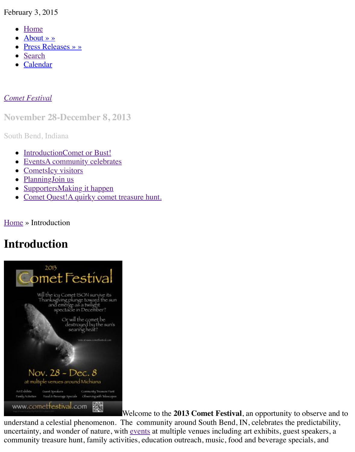Calendar

#### *Come[t Festival](http://www.cometfestival.com/index.php/about/)*

**Nov[ember](http://www.cometfestival.com/index.php/search/) [2](http://www.cometfestival.com/index.php/calendar/)8-December 8, 2013**

South Bend, Indiana

- IntroductionComet or Bust!
- [EventsA](http://www.cometfestival.com/) community celebrates
- CometsIcy visitors
- PlanningJoin us
- SupportersMaking it happen
- Comet Quest!A quirky comet treasure hunt.

Home [» Introduction](http://www.cometfestival.com/index.php/events/) 

## **Int[roduction](http://www.cometfestival.com/index.php/planning/)**



Welcome to the **2013 Comet Festival**, an opportunity to

[understand a celestial phenomenon. T](http://www.cometfestival.com/files/1613/6499/3840/CometFestival-13-04-03.jpg)he community around South Bend, IN, celebrates the pi uncertainty, and wonder of nature, with events at multiple venues including art exhibits, guest community treasure hunt, family activities, education outreach, music, food and beverage spec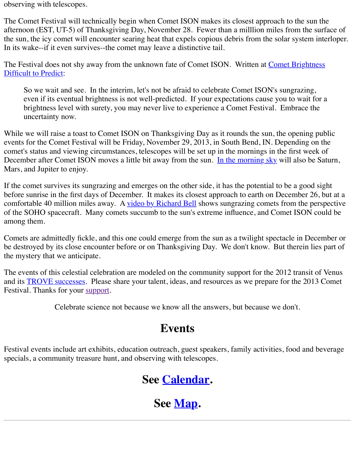The Festival does not shy away from the unknown fate of Comet ISON. Written at <u>Comet Bri</u> Difficult to Predict:

So we wait and see. In the interim, let's not be afraid to celebrate Comet ISON's sungraring even if its eventual brightness is not well-predicted. If your expectations cause you to w brightness level with surety, you may never live to experience a Comet Festival. Embra uncertainty now.

While we will raise a toast to Comet ISON on Thanksgiving Day as it rounds the sun, the oper events for the Comet Festival will be Friday, November 29, 2013, in South Bend, IN. Depending on the Comet on the Triday, November 29, 2013, in South Bend, IN. Depending on the Comet of Triday. comet's status and viewing circumstances, telescopes will be set up in the mornings in the first December after Comet ISON moves a little bit away from the sun. In the morning sky will als Mars, and Jupiter to enjoy.

If the comet survives its sungrazing and emerges on the other side, it has the potential to be a g before sunrise in the first days of December. It makes its closest approach to earth on Decemb comfortable 40 million miles away. A video by Richard Bell shows sungrazing comets from the of the SOHO spacecraft. Many comets succumb to the sun's extreme influence, and Comet IS among them.

Comets are admittedly fickle, and this one could emerge from the sun as a twilight spectacle in be destroyed by its close encounter before or on Thanksgiving Day. We don't know. But there the mystery that we anticipate.

The events of this celestial celebration [are modeled on the com](http://vimeo.com/59828520)munity support for the 2012 tra and its **TROVE** successes. Please share your talent, ideas, and resources as we prepare for the Festival. Thanks for your support.

Celebrate science not because we know all the answers, but because we don't.

### **Events**

Festiv[al events include ar](http://www.transitofvenus.org/trove)[t exhibit](http://www.cometfestival.com/index.php/supporters/)s, education outreach, guest speakers, family activities, food specials, a community treasure hunt, and observing with telescopes.

## **See Calendar.**

# **See Map.**